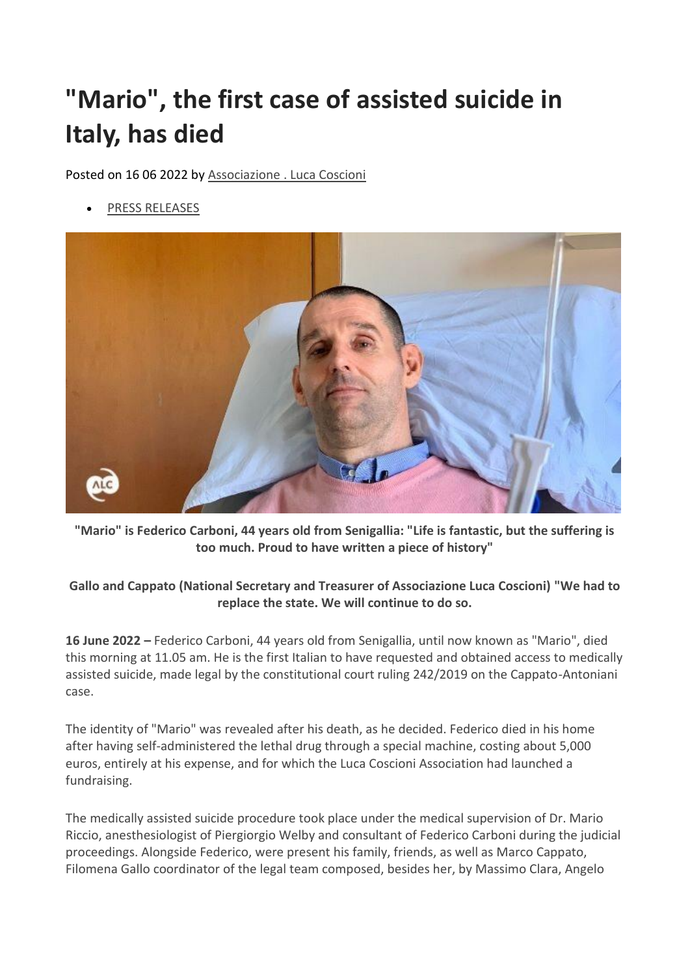## **"Mario", the first case of assisted suicide in Italy, has died**

Posted on 16 06 2022 by Associazione [. Luca Coscioni](https://www.associazionelucacoscioni.it/author/webmaster)

• [PRESS RELEASES](https://www.associazionelucacoscioni.it/notizie/comunicati)



**"Mario" is Federico Carboni, 44 years old from Senigallia: "Life is fantastic, but the suffering is too much. Proud to have written a piece of history"**

## **Gallo and Cappato (National Secretary and Treasurer of Associazione Luca Coscioni) "We had to replace the state. We will continue to do so.**

**16 June 2022 –** Federico Carboni, 44 years old from Senigallia, until now known as "Mario", died this morning at 11.05 am. He is the first Italian to have requested and obtained access to medically assisted suicide, made legal by the constitutional court ruling 242/2019 on the Cappato-Antoniani case.

The identity of "Mario" was revealed after his death, as he decided. Federico died in his home after having self-administered the lethal drug through a special machine, costing about 5,000 euros, entirely at his expense, and for which the Luca Coscioni Association had launched a fundraising.

The medically assisted suicide procedure took place under the medical supervision of Dr. Mario Riccio, anesthesiologist of Piergiorgio Welby and consultant of Federico Carboni during the judicial proceedings. Alongside Federico, were present his family, friends, as well as Marco Cappato, Filomena Gallo coordinator of the legal team composed, besides her, by Massimo Clara, Angelo